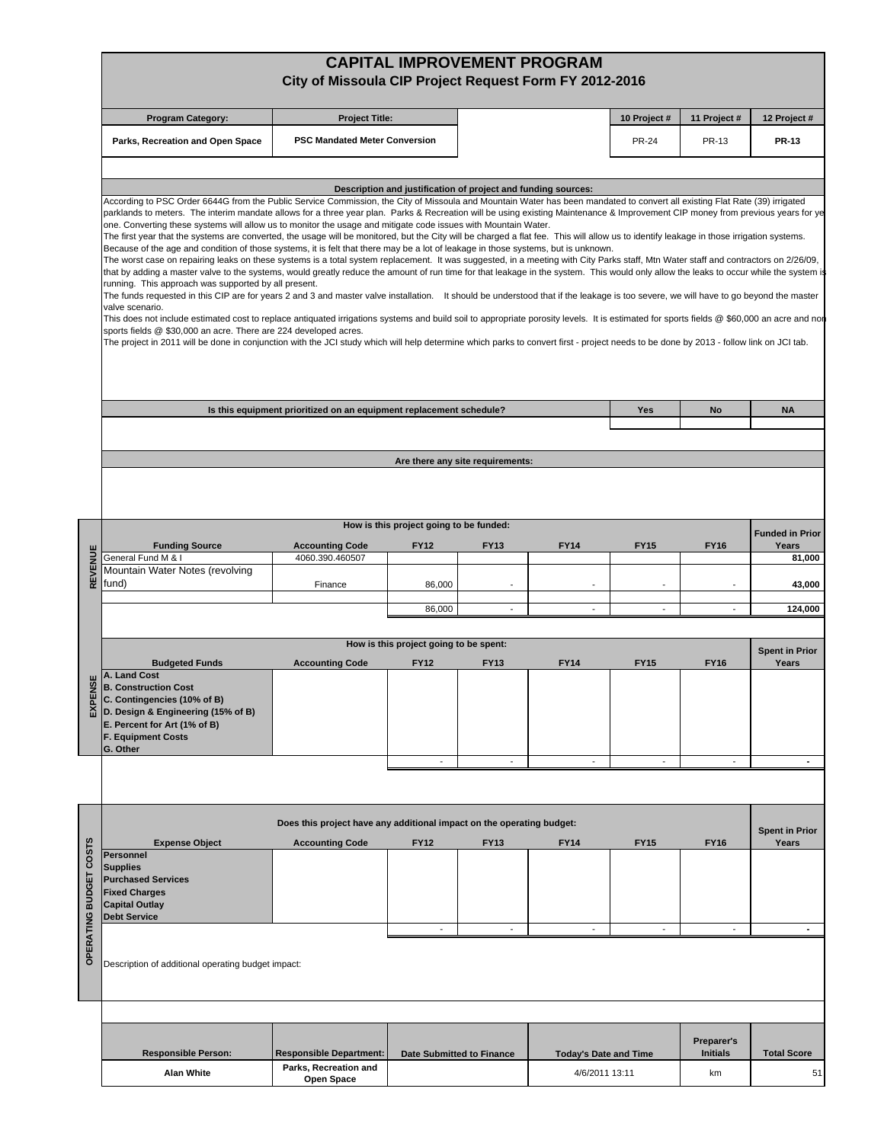|                        |                                                                                                                                                                                                                                                                                                                                                                                                                                                                                                                                                                                                                                                                                                                                                                                                                                                                                                                                                                                                                                                                                                                                                                                                                                                                                                                                                                                                                                                                                                                                                                                                                                                                                                                                                                                                                                                                                                                                    | City of Missoula CIP Project Request Form FY 2012-2016              |                                                               |                                  | <b>CAPITAL IMPROVEMENT PROGRAM</b> |                |                               |                                |  |  |
|------------------------|------------------------------------------------------------------------------------------------------------------------------------------------------------------------------------------------------------------------------------------------------------------------------------------------------------------------------------------------------------------------------------------------------------------------------------------------------------------------------------------------------------------------------------------------------------------------------------------------------------------------------------------------------------------------------------------------------------------------------------------------------------------------------------------------------------------------------------------------------------------------------------------------------------------------------------------------------------------------------------------------------------------------------------------------------------------------------------------------------------------------------------------------------------------------------------------------------------------------------------------------------------------------------------------------------------------------------------------------------------------------------------------------------------------------------------------------------------------------------------------------------------------------------------------------------------------------------------------------------------------------------------------------------------------------------------------------------------------------------------------------------------------------------------------------------------------------------------------------------------------------------------------------------------------------------------|---------------------------------------------------------------------|---------------------------------------------------------------|----------------------------------|------------------------------------|----------------|-------------------------------|--------------------------------|--|--|
|                        | <b>Program Category:</b>                                                                                                                                                                                                                                                                                                                                                                                                                                                                                                                                                                                                                                                                                                                                                                                                                                                                                                                                                                                                                                                                                                                                                                                                                                                                                                                                                                                                                                                                                                                                                                                                                                                                                                                                                                                                                                                                                                           | <b>Project Title:</b>                                               |                                                               |                                  |                                    | 10 Project #   | 11 Project #                  | 12 Project #                   |  |  |
|                        | Parks, Recreation and Open Space                                                                                                                                                                                                                                                                                                                                                                                                                                                                                                                                                                                                                                                                                                                                                                                                                                                                                                                                                                                                                                                                                                                                                                                                                                                                                                                                                                                                                                                                                                                                                                                                                                                                                                                                                                                                                                                                                                   | <b>PSC Mandated Meter Conversion</b>                                |                                                               |                                  |                                    | <b>PR-24</b>   | PR-13                         | <b>PR-13</b>                   |  |  |
|                        | According to PSC Order 6644G from the Public Service Commission, the City of Missoula and Mountain Water has been mandated to convert all existing Flat Rate (39) irrigated<br>parklands to meters. The interim mandate allows for a three year plan. Parks & Recreation will be using existing Maintenance & Improvement CIP money from previous years for ye<br>one. Converting these systems will allow us to monitor the usage and mitigate code issues with Mountain Water.<br>The first year that the systems are converted, the usage will be monitored, but the City will be charged a flat fee. This will allow us to identify leakage in those irrigation systems.<br>Because of the age and condition of those systems, it is felt that there may be a lot of leakage in those systems, but is unknown.<br>The worst case on repairing leaks on these systems is a total system replacement. It was suggested, in a meeting with City Parks staff, Mtn Water staff and contractors on 2/26/09,<br>that by adding a master valve to the systems, would greatly reduce the amount of run time for that leakage in the system. This would only allow the leaks to occur while the system is<br>running. This approach was supported by all present.<br>The funds requested in this CIP are for years 2 and 3 and master valve installation. It should be understood that if the leakage is too severe, we will have to go beyond the master<br>valve scenario.<br>This does not include estimated cost to replace antiquated irrigations systems and build soil to appropriate porosity levels. It is estimated for sports fields @ \$60,000 an acre and non<br>sports fields @ \$30,000 an acre. There are 224 developed acres.<br>The project in 2011 will be done in conjunction with the JCI study which will help determine which parks to convert first - project needs to be done by 2013 - follow link on JCI tab. | Is this equipment prioritized on an equipment replacement schedule? | Description and justification of project and funding sources: | Are there any site requirements: |                                    | Yes            | No                            | <b>NA</b>                      |  |  |
|                        | How is this project going to be funded:<br><b>Funded in Prior</b>                                                                                                                                                                                                                                                                                                                                                                                                                                                                                                                                                                                                                                                                                                                                                                                                                                                                                                                                                                                                                                                                                                                                                                                                                                                                                                                                                                                                                                                                                                                                                                                                                                                                                                                                                                                                                                                                  |                                                                     |                                                               |                                  |                                    |                |                               |                                |  |  |
|                        | <b>Funding Source</b><br>General Fund M & I                                                                                                                                                                                                                                                                                                                                                                                                                                                                                                                                                                                                                                                                                                                                                                                                                                                                                                                                                                                                                                                                                                                                                                                                                                                                                                                                                                                                                                                                                                                                                                                                                                                                                                                                                                                                                                                                                        | <b>Accounting Code</b><br>4060.390.460507                           | <b>FY12</b>                                                   | <b>FY13</b>                      | <b>FY14</b>                        | <b>FY15</b>    | <b>FY16</b>                   | Years<br>81,000                |  |  |
| REVENUE                | Mountain Water Notes (revolving<br>fund)                                                                                                                                                                                                                                                                                                                                                                                                                                                                                                                                                                                                                                                                                                                                                                                                                                                                                                                                                                                                                                                                                                                                                                                                                                                                                                                                                                                                                                                                                                                                                                                                                                                                                                                                                                                                                                                                                           | Finance                                                             | 86,000                                                        |                                  |                                    |                |                               | 43,000                         |  |  |
|                        |                                                                                                                                                                                                                                                                                                                                                                                                                                                                                                                                                                                                                                                                                                                                                                                                                                                                                                                                                                                                                                                                                                                                                                                                                                                                                                                                                                                                                                                                                                                                                                                                                                                                                                                                                                                                                                                                                                                                    |                                                                     | 86,000                                                        |                                  | $\blacksquare$                     | $\blacksquare$ |                               | 124,000                        |  |  |
|                        | How is this project going to be spent:                                                                                                                                                                                                                                                                                                                                                                                                                                                                                                                                                                                                                                                                                                                                                                                                                                                                                                                                                                                                                                                                                                                                                                                                                                                                                                                                                                                                                                                                                                                                                                                                                                                                                                                                                                                                                                                                                             |                                                                     |                                                               |                                  |                                    |                |                               |                                |  |  |
|                        | <b>Budgeted Funds</b>                                                                                                                                                                                                                                                                                                                                                                                                                                                                                                                                                                                                                                                                                                                                                                                                                                                                                                                                                                                                                                                                                                                                                                                                                                                                                                                                                                                                                                                                                                                                                                                                                                                                                                                                                                                                                                                                                                              | <b>Accounting Code</b>                                              | <b>FY12</b>                                                   | <b>FY13</b>                      | <b>FY14</b>                        | <b>FY15</b>    | <b>FY16</b>                   | <b>Spent in Prior</b><br>Years |  |  |
| ENSI<br>찞              | A. Land Cost<br><b>B. Construction Cost</b><br>C. Contingencies (10% of B)<br>D. Design & Engineering (15% of B)<br>E. Percent for Art (1% of B)<br><b>F. Equipment Costs</b><br>G. Other                                                                                                                                                                                                                                                                                                                                                                                                                                                                                                                                                                                                                                                                                                                                                                                                                                                                                                                                                                                                                                                                                                                                                                                                                                                                                                                                                                                                                                                                                                                                                                                                                                                                                                                                          |                                                                     |                                                               |                                  |                                    |                |                               |                                |  |  |
|                        |                                                                                                                                                                                                                                                                                                                                                                                                                                                                                                                                                                                                                                                                                                                                                                                                                                                                                                                                                                                                                                                                                                                                                                                                                                                                                                                                                                                                                                                                                                                                                                                                                                                                                                                                                                                                                                                                                                                                    |                                                                     | $\overline{\phantom{a}}$                                      | $\overline{\phantom{a}}$         | $\overline{\phantom{a}}$           | $\overline{a}$ | $\overline{\phantom{a}}$      | ۰                              |  |  |
|                        |                                                                                                                                                                                                                                                                                                                                                                                                                                                                                                                                                                                                                                                                                                                                                                                                                                                                                                                                                                                                                                                                                                                                                                                                                                                                                                                                                                                                                                                                                                                                                                                                                                                                                                                                                                                                                                                                                                                                    |                                                                     |                                                               |                                  |                                    |                |                               |                                |  |  |
|                        | Does this project have any additional impact on the operating budget:                                                                                                                                                                                                                                                                                                                                                                                                                                                                                                                                                                                                                                                                                                                                                                                                                                                                                                                                                                                                                                                                                                                                                                                                                                                                                                                                                                                                                                                                                                                                                                                                                                                                                                                                                                                                                                                              |                                                                     |                                                               |                                  |                                    |                |                               |                                |  |  |
|                        | <b>Expense Object</b>                                                                                                                                                                                                                                                                                                                                                                                                                                                                                                                                                                                                                                                                                                                                                                                                                                                                                                                                                                                                                                                                                                                                                                                                                                                                                                                                                                                                                                                                                                                                                                                                                                                                                                                                                                                                                                                                                                              | <b>Accounting Code</b>                                              | <b>FY12</b>                                                   | <b>FY13</b>                      | <b>FY14</b>                        | <b>FY15</b>    | <b>FY16</b>                   | <b>Spent in Prior</b><br>Years |  |  |
| OPERATING BUDGET COSTS | Personnel<br><b>Supplies</b><br><b>Purchased Services</b><br><b>Fixed Charges</b><br><b>Capital Outlay</b><br><b>Debt Service</b>                                                                                                                                                                                                                                                                                                                                                                                                                                                                                                                                                                                                                                                                                                                                                                                                                                                                                                                                                                                                                                                                                                                                                                                                                                                                                                                                                                                                                                                                                                                                                                                                                                                                                                                                                                                                  |                                                                     |                                                               |                                  |                                    |                |                               |                                |  |  |
|                        | $\overline{\phantom{a}}$<br>$\overline{\phantom{a}}$<br>$\blacksquare$<br>Description of additional operating budget impact:                                                                                                                                                                                                                                                                                                                                                                                                                                                                                                                                                                                                                                                                                                                                                                                                                                                                                                                                                                                                                                                                                                                                                                                                                                                                                                                                                                                                                                                                                                                                                                                                                                                                                                                                                                                                       |                                                                     |                                                               |                                  |                                    |                |                               |                                |  |  |
|                        |                                                                                                                                                                                                                                                                                                                                                                                                                                                                                                                                                                                                                                                                                                                                                                                                                                                                                                                                                                                                                                                                                                                                                                                                                                                                                                                                                                                                                                                                                                                                                                                                                                                                                                                                                                                                                                                                                                                                    |                                                                     |                                                               |                                  |                                    |                |                               |                                |  |  |
|                        | <b>Responsible Person:</b>                                                                                                                                                                                                                                                                                                                                                                                                                                                                                                                                                                                                                                                                                                                                                                                                                                                                                                                                                                                                                                                                                                                                                                                                                                                                                                                                                                                                                                                                                                                                                                                                                                                                                                                                                                                                                                                                                                         | <b>Responsible Department:</b>                                      | Date Submitted to Finance                                     |                                  | <b>Today's Date and Time</b>       |                | Preparer's<br><b>Initials</b> | <b>Total Score</b>             |  |  |
|                        | <b>Alan White</b>                                                                                                                                                                                                                                                                                                                                                                                                                                                                                                                                                                                                                                                                                                                                                                                                                                                                                                                                                                                                                                                                                                                                                                                                                                                                                                                                                                                                                                                                                                                                                                                                                                                                                                                                                                                                                                                                                                                  | Parks, Recreation and<br>Open Space                                 |                                                               |                                  | 4/6/2011 13:11                     |                | km                            | 51                             |  |  |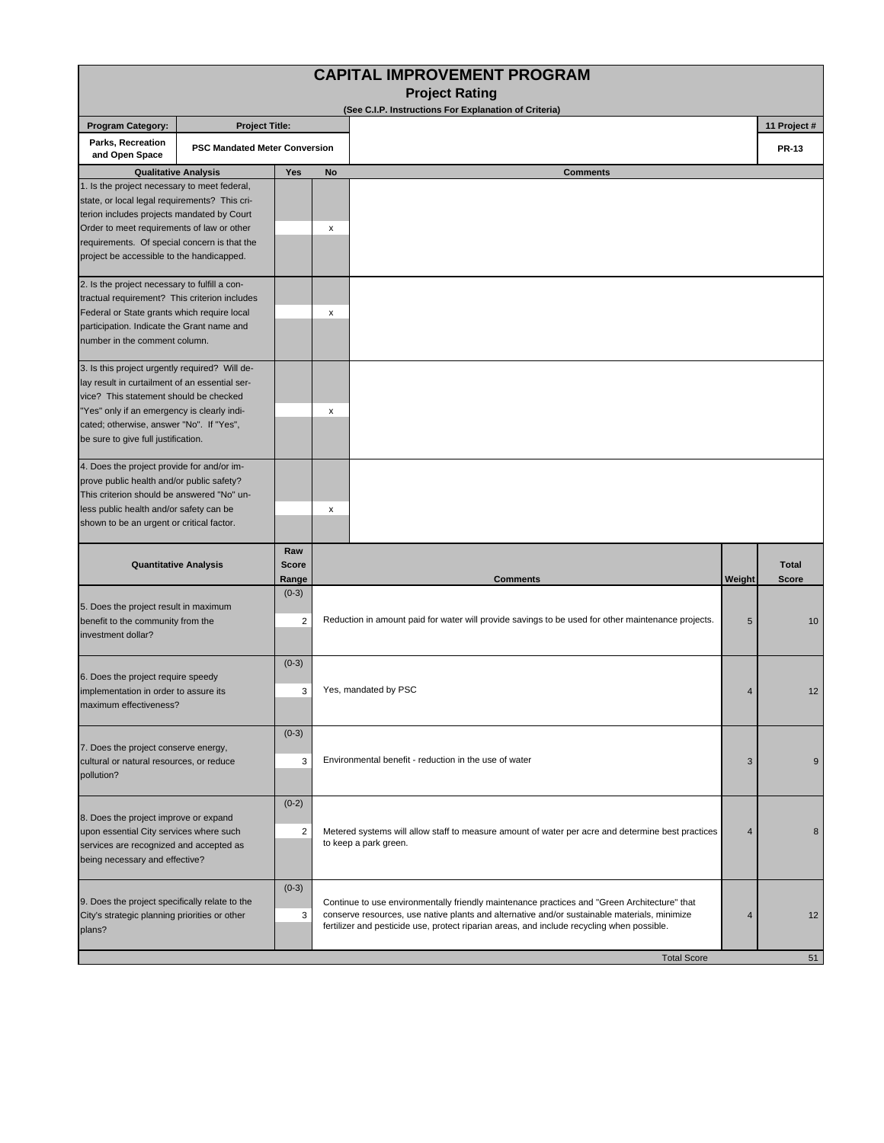|                                                                                                                                                                                                                                                                                        |                                                                                                                                                                                                                                                                                                             |                              | <b>CAPITAL IMPROVEMENT PROGRAM</b><br><b>Project Rating</b>                                                                                                                                                                                                                                |                |                              |
|----------------------------------------------------------------------------------------------------------------------------------------------------------------------------------------------------------------------------------------------------------------------------------------|-------------------------------------------------------------------------------------------------------------------------------------------------------------------------------------------------------------------------------------------------------------------------------------------------------------|------------------------------|--------------------------------------------------------------------------------------------------------------------------------------------------------------------------------------------------------------------------------------------------------------------------------------------|----------------|------------------------------|
|                                                                                                                                                                                                                                                                                        |                                                                                                                                                                                                                                                                                                             |                              | (See C.I.P. Instructions For Explanation of Criteria)                                                                                                                                                                                                                                      |                |                              |
| <b>Program Category:</b><br>Parks, Recreation                                                                                                                                                                                                                                          | <b>Project Title:</b>                                                                                                                                                                                                                                                                                       |                              |                                                                                                                                                                                                                                                                                            |                | 11 Project #                 |
| and Open Space                                                                                                                                                                                                                                                                         | <b>PSC Mandated Meter Conversion</b>                                                                                                                                                                                                                                                                        |                              |                                                                                                                                                                                                                                                                                            |                | <b>PR-13</b>                 |
|                                                                                                                                                                                                                                                                                        | <b>Qualitative Analysis</b>                                                                                                                                                                                                                                                                                 | Yes                          | <b>Comments</b><br>No                                                                                                                                                                                                                                                                      |                |                              |
| 1. Is the project necessary to meet federal,<br>state, or local legal requirements? This cri-<br>terion includes projects mandated by Court<br>Order to meet requirements of law or other<br>requirements. Of special concern is that the<br>project be accessible to the handicapped. |                                                                                                                                                                                                                                                                                                             |                              | х                                                                                                                                                                                                                                                                                          |                |                              |
| 2. Is the project necessary to fulfill a con-<br>tractual requirement? This criterion includes<br>Federal or State grants which require local<br>participation. Indicate the Grant name and<br>number in the comment column.                                                           |                                                                                                                                                                                                                                                                                                             |                              | x                                                                                                                                                                                                                                                                                          |                |                              |
| 3. Is this project urgently required? Will de-<br>lay result in curtailment of an essential ser-<br>vice? This statement should be checked<br>"Yes" only if an emergency is clearly indi-<br>cated; otherwise, answer "No". If "Yes",<br>be sure to give full justification.           |                                                                                                                                                                                                                                                                                                             |                              | х                                                                                                                                                                                                                                                                                          |                |                              |
| 4. Does the project provide for and/or im-<br>prove public health and/or public safety?<br>This criterion should be answered "No" un-<br>less public health and/or safety can be<br>shown to be an urgent or critical factor.                                                          |                                                                                                                                                                                                                                                                                                             |                              | x                                                                                                                                                                                                                                                                                          |                |                              |
|                                                                                                                                                                                                                                                                                        | <b>Quantitative Analysis</b>                                                                                                                                                                                                                                                                                | Raw<br><b>Score</b><br>Range | <b>Comments</b>                                                                                                                                                                                                                                                                            | Weight         | <b>Total</b><br><b>Score</b> |
| 5. Does the project result in maximum<br>benefit to the community from the<br>investment dollar?                                                                                                                                                                                       |                                                                                                                                                                                                                                                                                                             | $(0-3)$<br>$\overline{2}$    | Reduction in amount paid for water will provide savings to be used for other maintenance projects.                                                                                                                                                                                         | 5              | 10                           |
| 6. Does the project require speedy<br>implementation in order to assure its<br>maximum effectiveness?                                                                                                                                                                                  |                                                                                                                                                                                                                                                                                                             | $(0-3)$<br>3                 | Yes, mandated by PSC                                                                                                                                                                                                                                                                       | $\overline{4}$ | 12                           |
| $(0-3)$<br>7. Does the project conserve energy,<br>cultural or natural resources, or reduce<br>3<br>pollution?                                                                                                                                                                         |                                                                                                                                                                                                                                                                                                             |                              | Environmental benefit - reduction in the use of water                                                                                                                                                                                                                                      | 3              | 9                            |
|                                                                                                                                                                                                                                                                                        | $(0-2)$<br>8. Does the project improve or expand<br>upon essential City services where such<br>2<br>Metered systems will allow staff to measure amount of water per acre and determine best practices<br>to keep a park green.<br>services are recognized and accepted as<br>being necessary and effective? |                              | 4                                                                                                                                                                                                                                                                                          | 8              |                              |
| $(0-3)$<br>9. Does the project specifically relate to the<br>City's strategic planning priorities or other<br>3<br>plans?                                                                                                                                                              |                                                                                                                                                                                                                                                                                                             |                              | Continue to use environmentally friendly maintenance practices and "Green Architecture" that<br>conserve resources, use native plants and alternative and/or sustainable materials, minimize<br>fertilizer and pesticide use, protect riparian areas, and include recycling when possible. | 4              | 12                           |
|                                                                                                                                                                                                                                                                                        |                                                                                                                                                                                                                                                                                                             |                              | <b>Total Score</b>                                                                                                                                                                                                                                                                         |                | 51                           |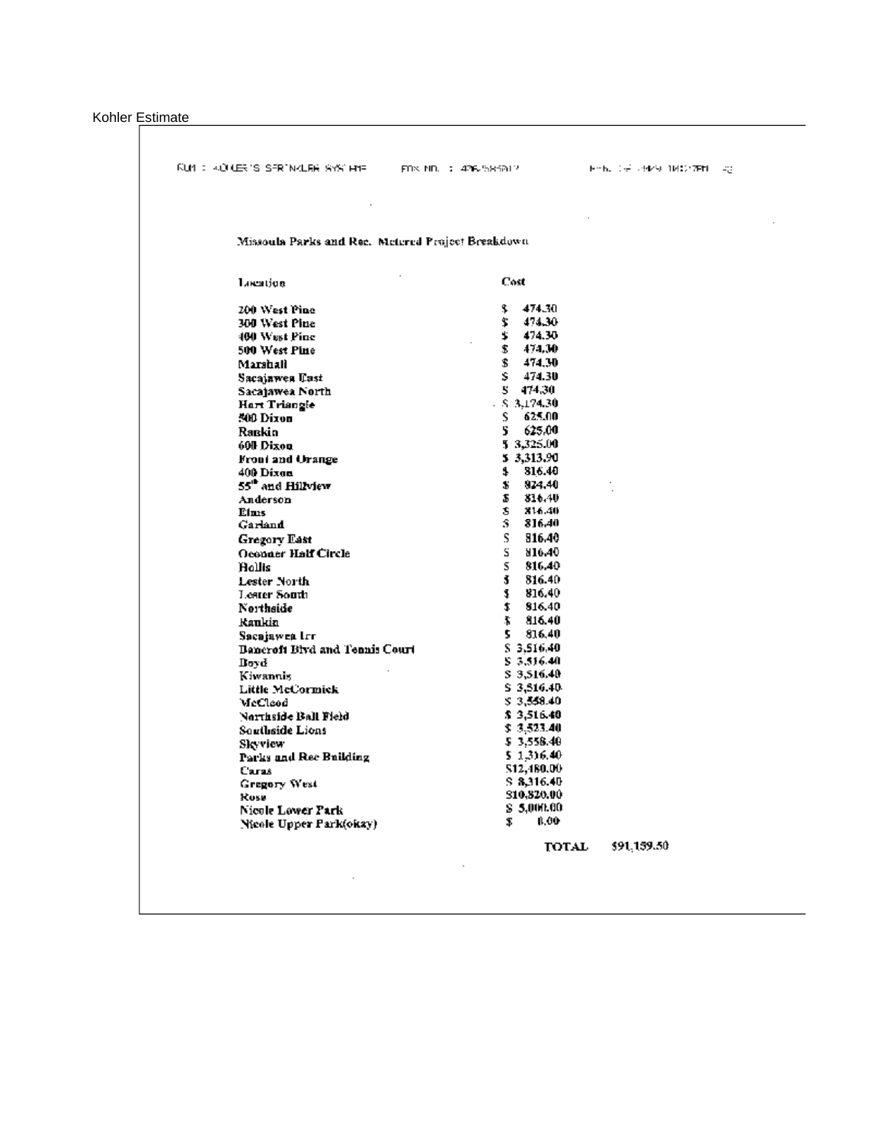Kohler Estimate

|                                 | RUM : «ORLERI'S SERINKLER SYSTEME  FOX ND. : 476-585812. |    |                          | トート、(データ)/シー18:07年11 - 20 |  |
|---------------------------------|----------------------------------------------------------|----|--------------------------|---------------------------|--|
|                                 |                                                          |    |                          |                           |  |
|                                 | Missoula Parks and Rec. Metered Praject Breakdown.       |    |                          |                           |  |
| Location                        |                                                          |    | Cost                     |                           |  |
| 200 West Pine                   |                                                          |    | \$474.30                 |                           |  |
| 300 West Pine                   |                                                          | Ĩ. | 474.30                   |                           |  |
| 400 West Pine                   |                                                          |    | \$474.30                 |                           |  |
| 500 West Pine                   |                                                          |    | \$474.30                 |                           |  |
| Marshall                        |                                                          |    | \$474.30                 |                           |  |
| Sacaiawea Uast                  |                                                          |    | \$474.30                 |                           |  |
| Sacajawea North                 |                                                          |    | 5 474.30                 |                           |  |
| Hart Triangle                   |                                                          |    | $-5.3174.30$             |                           |  |
| 500 Dixon                       |                                                          |    | \$ 625.00                |                           |  |
| Rackin                          |                                                          |    | 625.00                   |                           |  |
| 600 Dixon                       |                                                          |    | 5 3,325.00               |                           |  |
| Front and Urange                |                                                          |    | 5 3,313.90               |                           |  |
| 400 Dixon                       |                                                          |    | \$16.40                  |                           |  |
| 55" and Hillview                |                                                          | S. | 824,40                   |                           |  |
| Anderson                        |                                                          |    | \$316.40                 |                           |  |
| Elms                            |                                                          |    | \$ \$16.40               |                           |  |
| Garland                         |                                                          | S. | 816.40                   |                           |  |
| Gregory East                    |                                                          | S. | 816.40                   |                           |  |
| <b>Occoner Half Circle</b>      |                                                          | s. | 810.40                   |                           |  |
| Hollis                          |                                                          | S. | 816.40                   |                           |  |
| Lester North                    |                                                          |    | $3\quad 816.40$          |                           |  |
| Leater South                    |                                                          |    | \$ 816.40                |                           |  |
| Northside                       |                                                          |    | \$16.40                  |                           |  |
| Kaukio                          |                                                          |    | \$316.40                 |                           |  |
| Sacajawea Irr                   |                                                          |    | \$316.40                 |                           |  |
|                                 | <b>Bancroft Bivd and Tennis Court</b>                    |    | \$3.516.40               |                           |  |
| Dovd                            |                                                          |    | \$3,516.40               |                           |  |
| Kiwannis                        |                                                          |    | \$3,516.40               |                           |  |
| Little McCormick                |                                                          |    | \$3,516.40<br>\$3,550.40 |                           |  |
| McCleod                         |                                                          |    | \$3,516.40               |                           |  |
| Northside Ball Field            |                                                          |    | \$3,523.40               |                           |  |
| Southside Lions                 |                                                          |    | \$3.558.40               |                           |  |
| Skyvicw                         |                                                          |    | \$1,316.40               |                           |  |
| Parks and Rec Building<br>Caras |                                                          |    | \$12,480.00              |                           |  |
|                                 |                                                          |    | \$8,316.40               |                           |  |
| Gregory West<br>Rose            |                                                          |    | \$10,820.00              |                           |  |
| Nicole Lower Park               |                                                          |    | S 5,000.00.              |                           |  |
| Nicole Upper Park(okay)         |                                                          |    | 8,00                     |                           |  |
|                                 |                                                          |    | TOTAL                    | \$91,159.50               |  |
|                                 |                                                          |    |                          |                           |  |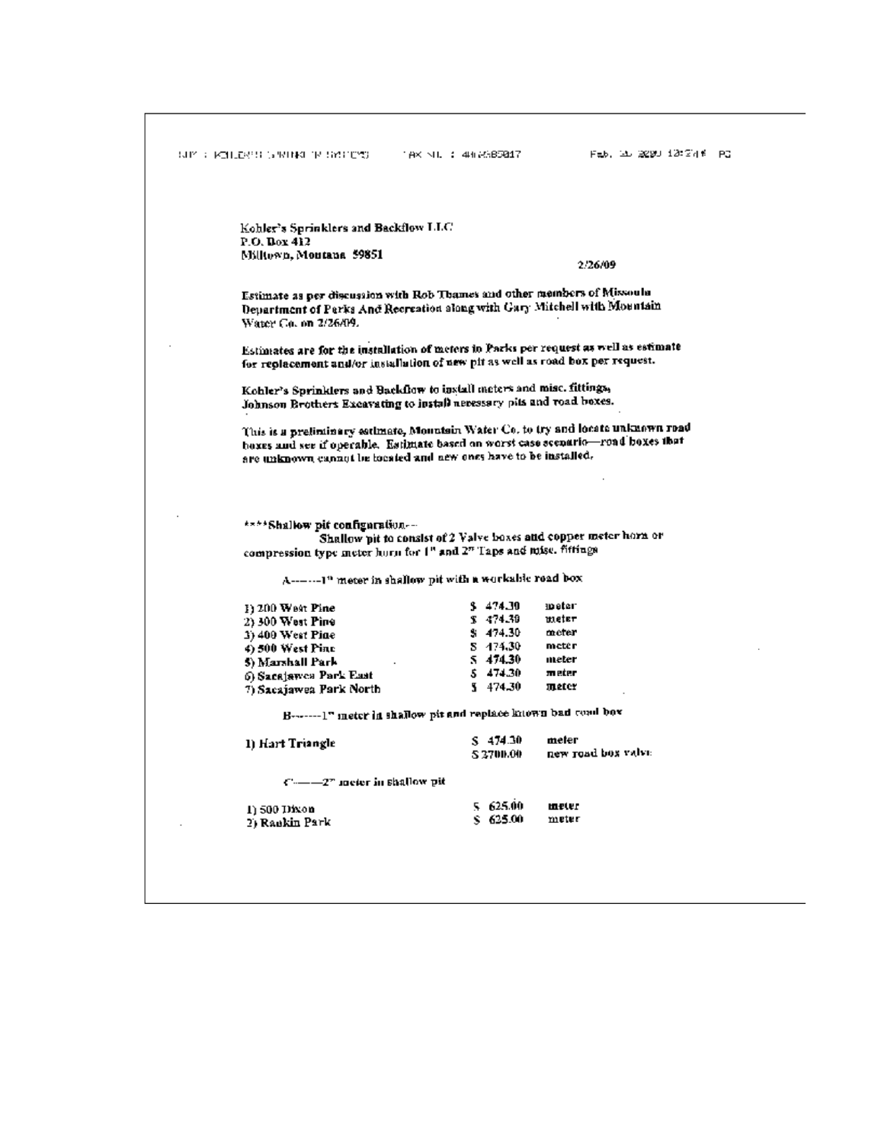|                                                                                                                                                                                                                                           | Kohler's Sprinklers and Backflow LLC                             |                    |  |  |  |
|-------------------------------------------------------------------------------------------------------------------------------------------------------------------------------------------------------------------------------------------|------------------------------------------------------------------|--------------------|--|--|--|
| P.O. Dox 412                                                                                                                                                                                                                              |                                                                  |                    |  |  |  |
| Millown, Montana, 59851                                                                                                                                                                                                                   |                                                                  | 2.26.09            |  |  |  |
| Estimate as per discussion with Rob Thames and other members of Missoula<br>Department of Perks And Recreation slong with Gary Mitchell with Mountain<br>Water Co. on 2/26/09.                                                            |                                                                  |                    |  |  |  |
| Estimates are for the installation of meters in Parks per request as well as estimate<br>for replacement and/or installation of new pit as well as road box per request.                                                                  |                                                                  |                    |  |  |  |
| Kohler's Sprinklers and Backflow to install meters and misc. fittings,<br>Johnson Brothers Excavating to install necessary pits and road boxes.                                                                                           |                                                                  |                    |  |  |  |
| This is a preliminary estimate, Mountain Water Co. to try and locate unknown road<br>hoxes and see if operable. Estimate based on worst case scenario-road boxes that<br>are unknown cannot be located and new ones have to be installed. |                                                                  |                    |  |  |  |
|                                                                                                                                                                                                                                           |                                                                  |                    |  |  |  |
| ****Shallow pit configuration---<br>compression type meter horn for 1" and 2" Taps and mise. fiftings                                                                                                                                     | Shallow pit to consist of 2 Valve boxes and copper meter horn or |                    |  |  |  |
|                                                                                                                                                                                                                                           | A--------1" meter in shallow pit with a workable road box        |                    |  |  |  |
| $I$ ) 200 West Pine                                                                                                                                                                                                                       | \$474.30                                                         | meter.             |  |  |  |
| 2) 300 West Pine                                                                                                                                                                                                                          | \$474.30                                                         | meter              |  |  |  |
| 3) 400 West Pine                                                                                                                                                                                                                          | \$474.30                                                         | meter              |  |  |  |
| 4) 500 West Pinc                                                                                                                                                                                                                          | S 474.30<br>5 474.30                                             | metêr<br>meter     |  |  |  |
| 5) Marshall Park                                                                                                                                                                                                                          | \$474.30                                                         | meter              |  |  |  |
| 6) Sacajawes Park East<br>7) Sacajawea Park North                                                                                                                                                                                         | 5474.30                                                          | meter              |  |  |  |
|                                                                                                                                                                                                                                           | B-------1" ineter in shallow pit and replace known bad coad box  |                    |  |  |  |
| 1) Hart Triangle                                                                                                                                                                                                                          | \$ 474.30                                                        | meter              |  |  |  |
|                                                                                                                                                                                                                                           | S 3700.00                                                        | new road box valve |  |  |  |
| $C = -2^r$ meter in shallow pit                                                                                                                                                                                                           |                                                                  |                    |  |  |  |
| 1) 500 Dixon                                                                                                                                                                                                                              | 5 625.00<br>\$ 625.00                                            | meter              |  |  |  |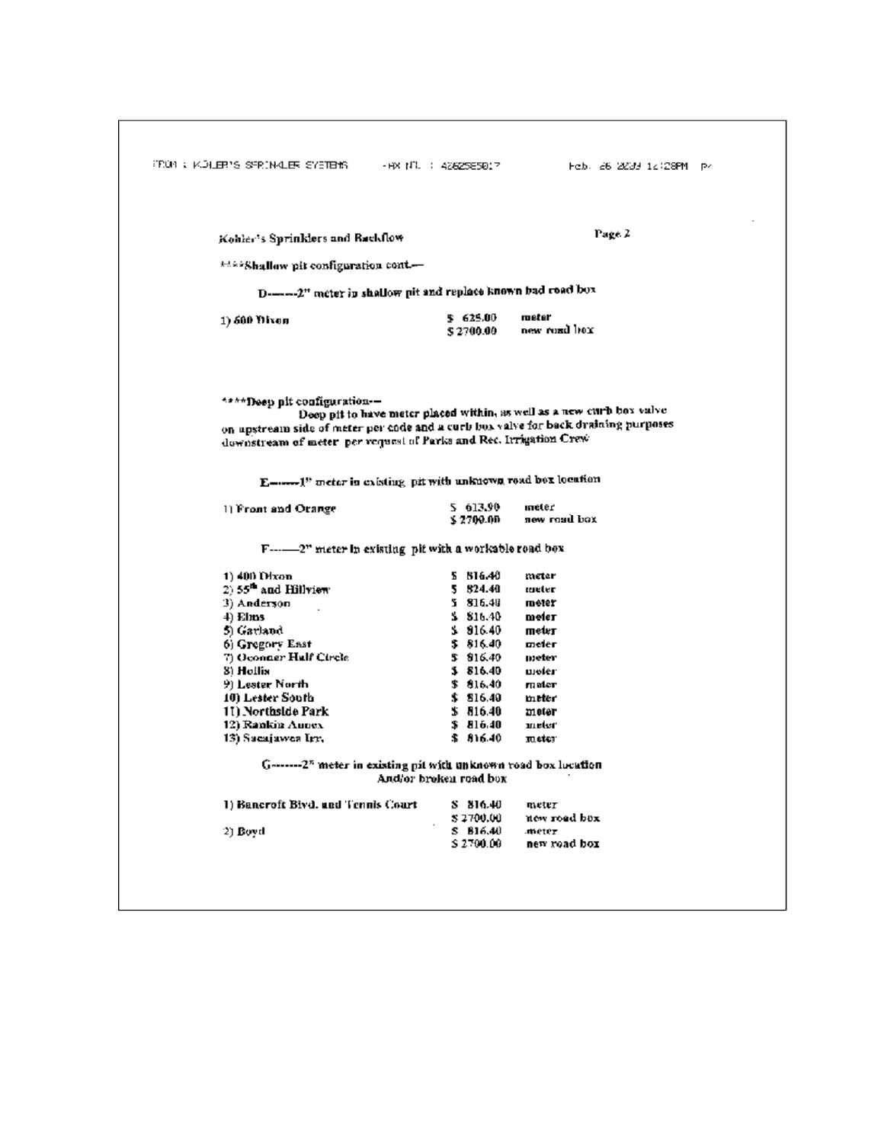| Kohler's Sprinklers and Rackflow                                                                                                                                                        |                         | Page 2                                                                |
|-----------------------------------------------------------------------------------------------------------------------------------------------------------------------------------------|-------------------------|-----------------------------------------------------------------------|
|                                                                                                                                                                                         |                         |                                                                       |
| ****Shallow pit configuration cont                                                                                                                                                      |                         |                                                                       |
| D--------2" meter in shallow pit and replace known bad road box                                                                                                                         |                         |                                                                       |
| 1) 600 Oixon                                                                                                                                                                            | \$ 625.00<br>\$2700.00  | meter<br>new ruzd hox                                                 |
| ****Deep pit configuration-—<br>on upstream side of meter per code and a curb box valve for back draining purposes<br>downstream of meter per request of Parks and Rec. Irrigation Crew |                         | Deep pit to have meter placed within, as well as a new curb box valve |
| E------ I" meter in existing pit with unknown road box location                                                                                                                         |                         |                                                                       |
| 1) Front and Orange                                                                                                                                                                     | 5 613.90<br>ኔ 2700.00   | meter<br>new road box                                                 |
|                                                                                                                                                                                         |                         |                                                                       |
| 1) 400 Dixon                                                                                                                                                                            | 5 616.40                | meter                                                                 |
| 2) $55^{\text{th}}$ and Hillview<br>3) Anderson                                                                                                                                         | 5 824.40<br>5 816.40    | meter<br>meter                                                        |
| 4) Elms                                                                                                                                                                                 | \$3, 516, 40            | meter                                                                 |
| 5) Garland                                                                                                                                                                              | \$316.40                | meter                                                                 |
| 6) Gregory East                                                                                                                                                                         | \$ 816.40               | meler                                                                 |
| 7) Oconner Hulf Circle                                                                                                                                                                  | 5 816.40                | meter                                                                 |
| 3) Hollis                                                                                                                                                                               | \$816.40                | moter                                                                 |
|                                                                                                                                                                                         | \$816.40<br>\$316.40    | mater<br>meter                                                        |
| 9) Lester North-                                                                                                                                                                        |                         | meter                                                                 |
| 10) Lester South<br>11) Northside Park                                                                                                                                                  | \$316.40                |                                                                       |
| 12) Rankin Aunex                                                                                                                                                                        | \$ 816.40               | meter                                                                 |
| 13) Sacajawes Irr.                                                                                                                                                                      | \$816.40                | meter.                                                                |
| G--------2 <sup>n</sup> meter in existing pit with unknown road box location                                                                                                            | And/or broken road box. |                                                                       |
| 1) Bancroft Bivd. and Tennis Court                                                                                                                                                      | S 816.40                | meter                                                                 |
| 2) Boyd                                                                                                                                                                                 | \$2700.00<br>S 816.40   | new road box<br>meter.                                                |

 $\overline{\phantom{a}}$